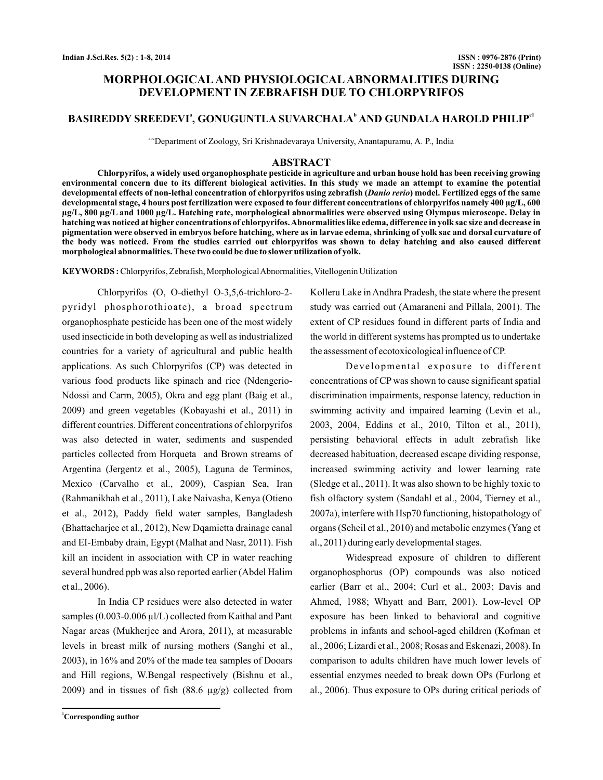# **MORPHOLOGICAL AND PHYSIOLOGICAL ABNORMALITIES DURING DEVELOPMENT IN ZEBRAFISH DUE TO CHLORPYRIFOS**

## **BASIREDDY SREEDEVI<sup>ª</sup>, GONUGUNTLA SUVARCHALA<sup>b</sup> AND GUNDALA HAROLD PHILIP<sup>al</sup>**

abcDepartment of Zoology, Sri Krishnadevaraya University, Anantapuramu, A. P., India

### **ABSTRACT**

**Chlorpyrifos, a widely used organophosphate pesticide in agriculture and urban house hold has been receiving growing environmental concern due to its different biological activities. In this study we made an attempt to examine the potential** developmental effects of non-lethal concentration of chlorpyrifos using zebrafish (*Danio rerio*) model. Fertilized eggs of the same **developmental stage, 4 hours post fertilization were exposed to four different concentrations of chlorpyrifos namely 400 µg/L, 600 µg/L, 800 µg/L and 1000 µg/L. Hatching rate, morphological abnormalities were observed using Olympus microscope. Delay in hatching was noticed at higher concentrations of chlorpyrifos.Abnormalities like edema, difference in yolk sac size and decrease in pigmentation were observed in embryos before hatching, where as in larvae edema, shrinking of yolk sac and dorsal curvature of the body was noticed. From the studies carried out chlorpyrifos was shown to delay hatching and also caused different morphological abnormalities.These two could be due to slower utilization of yolk.**

**KEYWORDS :** Chlorpyrifos, Zebrafish, MorphologicalAbnormalities, Vitellogenin Utilization

Chlorpyrifos (O, O-diethyl O-3,5,6-trichloro-2 pyridyl phosphorothioate), a broad spectrum organophosphate pesticide has been one of the most widely used insecticide in both developing as well as industrialized countries for a variety of agricultural and public health applications. As such Chlorpyrifos (CP) was detected in various food products like spinach and rice (Ndengerio-Ndossi and Carm, 2005), Okra and egg plant (Baig et al., 2009) and green vegetables (Kobayashi et al., 2011) in different countries. Different concentrations of chlorpyrifos was also detected in water, sediments and suspended particles collected from Horqueta and Brown streams of Argentina (Jergentz et al., 2005), Laguna de Terminos, Mexico (Carvalho et al., 2009), Caspian Sea, Iran (Rahmanikhah et al., 2011), Lake Naivasha, Kenya (Otieno et al., 2012), Paddy field water samples, Bangladesh (Bhattacharjee et al., 2012), New Dqamietta drainage canal and EI-Embaby drain, Egypt (Malhat and Nasr, 2011). Fish kill an incident in association with CP in water reaching several hundred ppb was also reported earlier (Abdel Halim et al., 2006).

In India CP residues were also detected in water samples (0.003-0.006 µl/L) collected from Kaithal and Pant Nagar areas (Mukherjee and Arora, 2011), at measurable levels in breast milk of nursing mothers (Sanghi et al., 2003), in 16% and 20% of the made tea samples of Dooars and Hill regions, W.Bengal respectively (Bishnu et al., 2009) and in tissues of fish  $(88.6 \text{ µg/g})$  collected from

**<sup>1</sup>Corresponding author**

Kolleru Lake in Andhra Pradesh, the state where the present study was carried out (Amaraneni and Pillala, 2001). The extent of CP residues found in different parts of India and the world in different systems has prompted us to undertake the assessment of ecotoxicological influence of CP.

Developmental exposure to different concentrations of CP was shown to cause significant spatial discrimination impairments, response latency, reduction in swimming activity and impaired learning (Levin et al., 2003, 2004, Eddins et al., 2010, Tilton et al., 2011), persisting behavioral effects in adult zebrafish like decreased habituation, decreased escape dividing response, increased swimming activity and lower learning rate (Sledge et al., 2011). It was also shown to be highly toxic to fish olfactory system (Sandahl et al., 2004, Tierney et al., 2007a), interfere with Hsp70 functioning, histopathology of organs (Scheil et al., 2010) and metabolic enzymes (Yang et al., 2011) during early developmental stages.

Widespread exposure of children to different organophosphorus (OP) compounds was also noticed earlier (Barr et al., 2004; Curl et al., 2003; Davis and Ahmed, 1988; Whyatt and Barr, 2001). Low-level OP exposure has been linked to behavioral and cognitive problems in infants and school-aged children (Kofman et al., 2006; Lizardi et al., 2008; Rosas and Eskenazi, 2008). In comparison to adults children have much lower levels of essential enzymes needed to break down OPs (Furlong et al., 2006). Thus exposure to OPs during critical periods of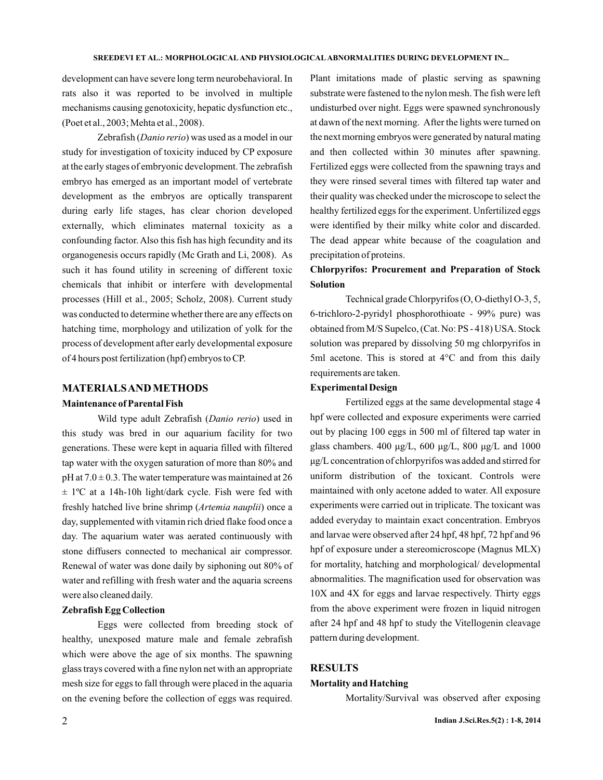development can have severe long term neurobehavioral. In rats also it was reported to be involved in multiple mechanisms causing genotoxicity, hepatic dysfunction etc., (Poet et al., 2003; Mehta et al., 2008).

Zebrafish (*Danio rerio*) was used as a model in our study for investigation of toxicity induced by CP exposure at the early stages of embryonic development. The zebrafish embryo has emerged as an important model of vertebrate development as the embryos are optically transparent during early life stages, has clear chorion developed externally, which eliminates maternal toxicity as a confounding factor. Also this fish has high fecundity and its organogenesis occurs rapidly (Mc Grath and Li, 2008). As such it has found utility in screening of different toxic chemicals that inhibit or interfere with developmental processes (Hill et al., 2005; Scholz, 2008). Current study was conducted to determine whether there are any effects on hatching time, morphology and utilization of yolk for the process of development after early developmental exposure of 4 hours post fertilization (hpf) embryos to CP.

### **MATERIALSANDMETHODS**

#### **Maintenance of Parental Fish**

Wild type adult Zebrafish (Danio rerio) used in this study was bred in our aquarium facility for two generations. These were kept in aquaria filled with filtered tap water with the oxygen saturation of more than 80% and  $pH$  at  $7.0 \pm 0.3$ . The water temperature was maintained at 26  $\pm$  1°C at a 14h-10h light/dark cycle. Fish were fed with freshly hatched live brine shrimp (Artemia nauplii) once a day, supplemented with vitamin rich dried flake food once a day. The aquarium water was aerated continuously with stone diffusers connected to mechanical air compressor. Renewal of water was done daily by siphoning out 80% of water and refilling with fresh water and the aquaria screens were also cleaned daily.

#### **Zebrafish Egg Collection**

Eggs were collected from breeding stock of healthy, unexposed mature male and female zebrafish which were above the age of six months. The spawning glass trays covered with a fine nylon net with an appropriate mesh size for eggs to fall through were placed in the aquaria on the evening before the collection of eggs was required.

Plant imitations made of plastic serving as spawning substrate were fastened to the nylon mesh. The fish were left undisturbed over night. Eggs were spawned synchronously at dawn of the next morning. After the lights were turned on the next morning embryos were generated by natural mating and then collected within 30 minutes after spawning. Fertilized eggs were collected from the spawning trays and they were rinsed several times with filtered tap water and their quality was checked under the microscope to select the healthy fertilized eggs for the experiment. Unfertilized eggs were identified by their milky white color and discarded. The dead appear white because of the coagulation and precipitation of proteins.

# **Chlorpyrifos: Procurement and Preparation of Stock Solution**

Technical grade Chlorpyrifos (O, O-diethyl O-3, 5, 6-trichloro-2-pyridyl phosphorothioate - 99% pure) was obtained from M/S Supelco, (Cat. No: PS - 418) USA. Stock solution was prepared by dissolving 50 mg chlorpyrifos in 5ml acetone. This is stored at 4°C and from this daily requirements are taken.

#### **Experimental Design**

Fertilized eggs at the same developmental stage 4 hpf were collected and exposure experiments were carried out by placing 100 eggs in 500 ml of filtered tap water in glass chambers.  $400 \mu g/L$ ,  $600 \mu g/L$ ,  $800 \mu g/L$  and  $1000$ μg/L concentration of chlorpyrifos was added and stirred for uniform distribution of the toxicant. Controls were maintained with only acetone added to water. All exposure experiments were carried out in triplicate. The toxicant was added everyday to maintain exact concentration. Embryos and larvae were observed after 24 hpf, 48 hpf, 72 hpf and 96 hpf of exposure under a stereomicroscope (Magnus MLX) for mortality, hatching and morphological/ developmental abnormalities. The magnification used for observation was 10X and 4X for eggs and larvae respectively. Thirty eggs from the above experiment were frozen in liquid nitrogen after 24 hpf and 48 hpf to study the Vitellogenin cleavage pattern during development.

## **RESULTS**

#### **Mortality and Hatching**

Mortality/Survival was observed after exposing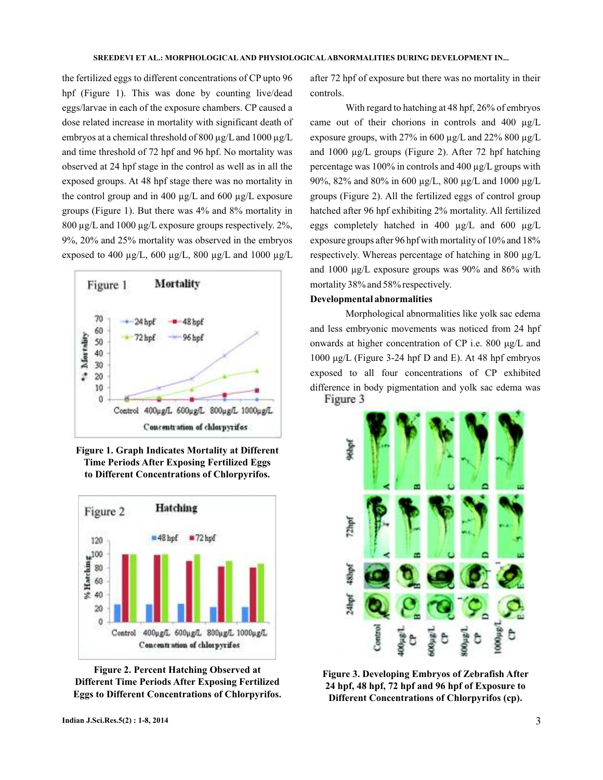the fertilized eggs to different concentrations of CP upto 96 hpf (Figure 1). This was done by counting live/dead eggs/larvae in each of the exposure chambers. CP caused a dose related increase in mortality with significant death of embryos at a chemical threshold of 800  $\mu$ g/L and 1000  $\mu$ g/L and time threshold of 72 hpf and 96 hpf. No mortality was observed at 24 hpf stage in the control as well as in all the exposed groups. At 48 hpf stage there was no mortality in the control group and in 400  $\mu$ g/L and 600  $\mu$ g/L exposure groups (Figure 1). But there was 4% and 8% mortality in 800  $\mu$ g/L and 1000  $\mu$ g/L exposure groups respectively. 2%, 9%, 20% and 25% mortality was observed in the embryos exposed to 400  $\mu$ g/L, 600  $\mu$ g/L, 800  $\mu$ g/L and 1000  $\mu$ g/L



**Figure 1. Graph Indicates Mortality at Different Time Periods After Exposing Fertilized Eggs to Different Concentrations of Chlorpyrifos.**





after 72 hpf of exposure but there was no mortality in their controls.

With regard to hatching at 48 hpf, 26% of embryos came out of their chorions in controls and 400  $\mu$ g/L exposure groups, with 27% in 600  $\mu$ g/L and 22% 800  $\mu$ g/L and 1000 µg/L groups (Figure 2). After 72 hpf hatching percentage was 100% in controls and 400 µg/L groups with 90%, 82% and 80% in 600 µg/L, 800 µg/L and 1000 µg/L groups (Figure 2). All the fertilized eggs of control group hatched after 96 hpf exhibiting 2% mortality. All fertilized eggs completely hatched in 400 µg/L and 600 µg/L exposure groups after 96 hpf with mortality of 10% and 18% respectively. Whereas percentage of hatching in 800 µg/L and 1000 µg/L exposure groups was 90% and 86% with mortality 38% and 58% respectively.

## **Developmental abnormalities**

Morphological abnormalities like yolk sac edema and less embryonic movements was noticed from 24 hpf onwards at higher concentration of CP i.e. 800 μg/L and 1000 μg/L (Figure 3-24 hpf D and E). At 48 hpf embryos exposed to all four concentrations of CP exhibited difference in body pigmentation and yolk sac edema was Figure 3



**Figure 3. Developing Embryos of Zebrafish After 24 hpf, 48 hpf, 72 hpf and 96 hpf of Exposure to Different Concentrations of Chlorpyrifos (cp).**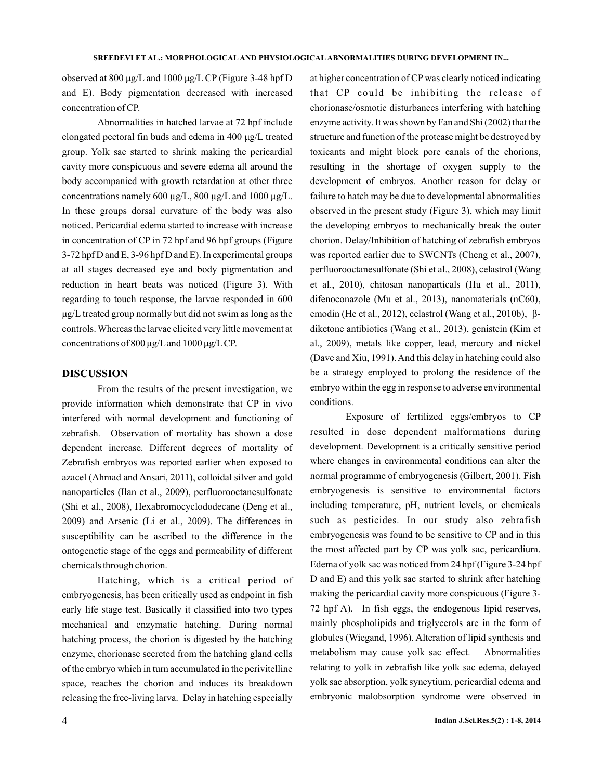observed at 800 μg/L and 1000 μg/L CP (Figure 3-48 hpf D and E). Body pigmentation decreased with increased concentration of CP.

Abnormalities in hatched larvae at 7 2 hpf include concentrations namely 600  $\mu$ g/L, 800  $\mu$ g/L and 1000  $\mu$ g/L. In these groups dorsal curvature of the body was also noticed. Pericardial edema started to increase with increase in concentration of CP in 72 hpf and 96 hpf groups (Figure 3-72 hpf D and E, 3-96 hpf D and E). In e xperimental groups elongated pectoral fin buds and edema in 400 μg/L treated group. Yolk sac started to shrink making the pericardial cavity more conspicuous and severe edema all around the body accompanied with growth retardation at other three at all stages decreased eye and body pigmentation and reduction in heart beats was noticed (Figure 3). With regarding to touch response, the larvae responded in 600 μg/L treated group normally but did not swim as long as the controls.Whereas the larvae elicited very little movement at concentrations of 800 μg/L and 1000 μg/LCP.

## **DISCUSSION**

From the results of the present investigation, we provide information which demonstrate that CP in vivo interfered with normal development and functioning of zebrafish. Observation of mortality has shown a dose dependent increase. Different degrees of mortality of Zebrafish embryos was reported earlier when exposed to azacel (Ahmad and Ansari, 2011), colloidal silver and gold nanoparticles (Ilan et al., 2009), perfluorooctanesulfonate (Shi et al., 2008), Hexabromocyclododecane (Deng et al., 2009) and Arsenic (Li et al., 2009). The differences in susceptibility can be ascribed to the difference in the ontogenetic stage of the eggs and permeability of different chemicals through chorion.

Hatching, which is a critical period of embryogenesis, has been critically used as endpoint in fish early life stage test. Basically it classified into two types mechanical and enzymatic hatching. During normal hatching process, the chorion is digested by the hatching enzyme, chorionase secreted from the hatching gland cells of the embryo which in turn accumulated in the perivitelline space, reaches the chorion and induces its breakdown releasing the free-living larva. Delay in hatching especially at higher concentration of CP was clearly noticed indicating that CP could be inhibiting the release of chorionase/osmotic disturbances interfering with hatching enzyme activity. It was shown by Fan and Shi (2002) that the structure and function of the protease might be destroyed by toxicants and might block pore canals of the chorions, resulting in the shortage of oxygen supply to the development of embryos. Another reason for delay or failure to hatch may be due to developmental abnormalities observed in the present study (Figure 3), which may limit the developing embryos to mechanically break the outer chorion. Delay/Inhibition of hatching of zebrafish embryos was reported earlier due to SWCNTs (Cheng et al., 2007), perfluorooctanesulfonate (Shi et al., 2008), celastrol (Wang et al., 2010), chitosan nanoparticals (Hu et al., 2011), difenoconazole (Mu et al., 2013), nanomaterials (nC60), emodin (He et al., 2012), celastrol (Wang et al., 2010b), βbe a strategy employed to prolong the residence of the embryo within the egg in response to adverse environmental conditions. diketone antibiotics (Wang et al., 2013), genistein (Kim et al., 2009), metals like copper, lead, mercury and nickel (Dave and Xiu, 1991). And this delay in hatching could also

Exposure of fertilized eggs/embryos to CP resulted in dose dependent malformations during development. Development is a critically sensitive period where changes in environmental conditions can alter the normal programme of embryogenesis (Gilbert, 2001). Fish embryogenesis is sensitive to environmental factors including temperature, pH, nutrient levels, or chemicals such as pesticides. In our study also zebrafish embryogenesis was found to be sensitive to CP and in this the most affected part by CP was yolk sac, pericardium. Edema of yolk sac was noticed from 24 hpf (Figure 3-24 hpf D and E) and this yolk sac started to shrink after hatching making the pericardial cavity more conspicuous (Figure 3- 72 hpf A). In fish eggs, the endogenous lipid reserves, mainly phospholipids and triglycerols are in the form of globules (Wiegand, 1996). Alteration of lipid synthesis and metabolism may cause yolk sac effect. Abnormalities relating to yolk in zebrafish like yolk sac edema, delayed yolk sac absorption, yolk syncytium, pericardial edema and embryonic malobsorption syndrome were observed in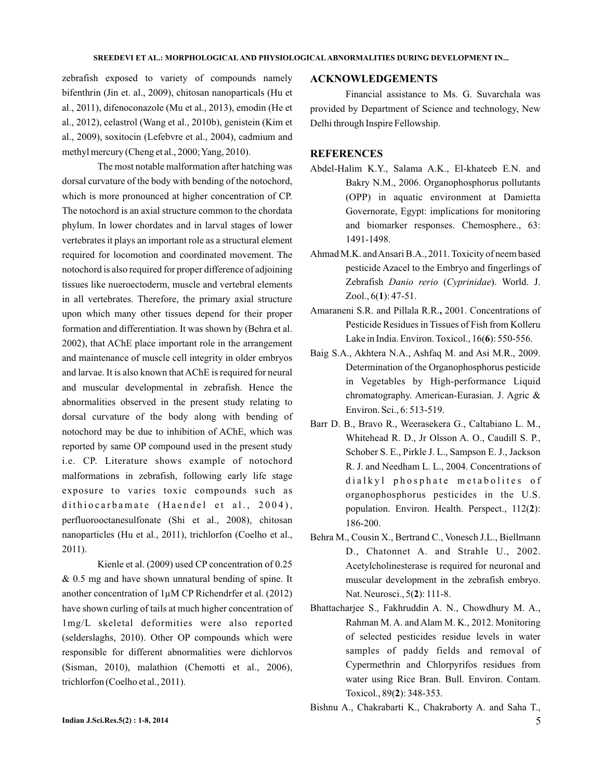zebrafish exposed to variety of compounds namely bifenthrin (Jin et. al., 2009), chitosan nanoparticals (Hu et al., 2011), difenoconazole (Mu et al., 2013), emodin (He et al., 2012), celastrol (Wang et al., 2010b), genistein (Kim et al., 2009), soxitocin (Lefebvre et al., 2004), cadmium and methyl mercury (Cheng et al., 2000; Yang, 2010).

The most notable malformation after hatching was dorsal curvature of the body with bending of the notochord, which is more pronounced at higher concentration of CP. The notochord is an axial structure common to the chordata phylum. In lower chordates and in larval stages of lower vertebrates it plays an important role as a structural element required for locomotion and coordinated movement. The notochord is also required for proper difference of adjoining tissues like nueroectoderm, muscle and vertebral elements in all vertebrates. Therefore, the primary axial structure upon which many other tissues depend for their proper formation and differentiation. It was shown by (Behra et al. 2002), that AChE place important role in the arrangement and maintenance of muscle cell integrity in older embryos and larvae. It is also known that AChE is required for neural and muscular developmental in zebrafish. Hence the abnormalities observed in the present study relating to dorsal curvature of the body along with bending of notochord may be due to inhibition of AChE, which was reported by same OP compound used in the present study i.e. CP. Literature shows example of notochord malformations in zebrafish, following early life stage exposure to varies toxic compounds such as dithiocarbamate (Haendel et al., 2004), perfluorooctanesulfonate (Shi et al., 2008), chitosan nanoparticles (Hu et al., 2011), trichlorfon (Coelho et al., 2011).

Kienle et al. (2009) used CP concentration of 0.25 & 0.5 mg and have shown unnatural bending of spine. It another concentration of 1µM CP Richendrfer et al. (2012) have shown curling of tails at much higher concentration of 1mg/L skeletal deformities were also reported (selderslaghs, 2010). Other OP compounds which were responsible for different abnormalities were dichlorvos (Sisman, 2010), malathion (Chemotti et al., 2006), trichlorfon (Coelho et al., 2011).

## **ACKNOWLEDGEMENTS**

Financial assistance to Ms. G. Suvarchala was provided by Department of Science and technology, New Delhi through Inspire Fellowship.

## **REFERENCES**

- Abdel-Halim K.Y., Salama A.K., El-khateeb E.N. and Bakry N.M., 2006. Organophosphorus pollutants (OPP) in aquatic environment at Damietta Governorate, Egypt: implications for monitoring and biomarker responses. Chemosphere., 63: 1491-1498.
- Ahmad M.K. andAnsari B.A., 2011. Toxicity of neem based pesticide Azacel to the Embryo and fingerlings of Zebrafish Danio rerio (Cyprinidae). World. J. Zool., 6(1): 47-51.
- Amaraneni S.R. and Pillala R.R., 2001. Concentrations of Pesticide Residues in Tissues of Fish from Kolleru Lake in India. Environ. Toxicol., 16(6): 550-556.
- Baig S.A., Akhtera N.A., Ashfaq M. and Asi M.R., 2009. Determination of the Organophosphorus pesticide in Vegetables by High-performance Liquid chromatography. American-Eurasian. J. Agric & Environ. Sci., 6: 513-519.
- Barr D. B., Bravo R., Weerasekera G., Caltabiano L. M., Whitehead R. D., Jr Olsson A. O., Caudill S. P., Schober S. E., Pirkle J. L., Sampson E. J., Jackson R. J. and Needham L. L., 2004. Concentrations of dialkyl phosphate metabolites of organophosphorus pesticides in the U.S. population. Environ. Health. Perspect., 112(2): 186-200.
- Behra M., Cousin X., Bertrand C., Vonesch J.L., Biellmann D., Chatonnet A. and Strahle U., 2002. Acetylcholinesterase is required for neuronal and muscular development in the zebrafish embryo. Nat. Neurosci., 5(2): 111-8.
- Bhattacharjee S., Fakhruddin A. N., Chowdhury M. A., Rahman M. A. and Alam M. K., 2012. Monitoring of selected pesticides residue levels in water samples of paddy fields and removal of Cypermethrin and Chlorpyrifos residues from water using Rice Bran. Bull. Environ. Contam. Toxicol., 89(2): 348-353.
- **Indian J.Sci.Res.5(2) : 1-8, 2014** 5 Bishnu A., Chakrabarti K., Chakraborty A. and Saha T.,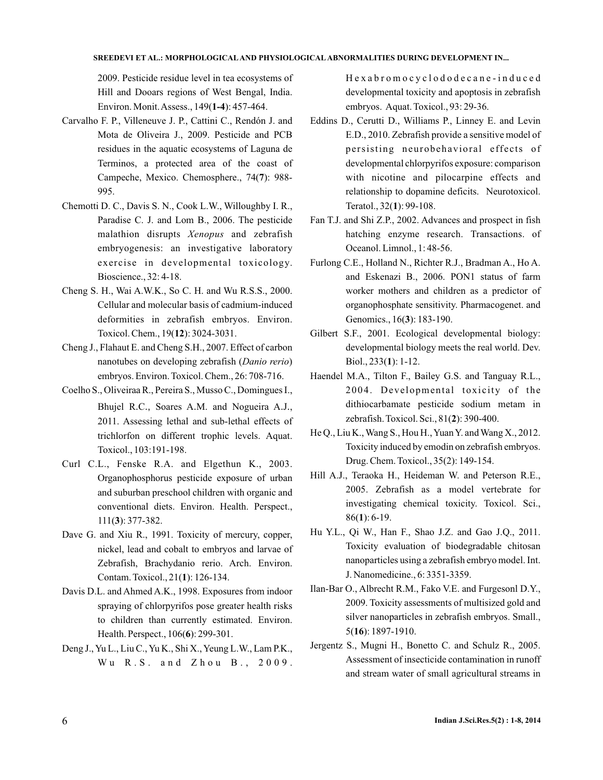#### **SREEDEVI ET AL.: MORPHOLOGICAL AND PHYSIOLOGICAL ABNORMALITIES DURING DEVELOPMENT IN...**

2009. Pesticide residue level in tea ecosystems of Hill and Dooars regions of West Bengal, India. Environ. Monit. Assess., 149(1-4): 457-464.

- Carvalho F. P., Villeneuve J. P., Cattini C., Rendón J. and Mota de Oliveira J., 2009. Pesticide and PCB residues in the aquatic ecosystems of Laguna de Terminos, a protected area of the coast of Campeche, Mexico. Chemosphere., 74(7): 988-995.
- Chemotti D. C., Davis S. N., Cook L.W., Willoughby I. R., Paradise C. J. and Lom B., 2006. The pesticide malathion disrupts Xenopus and zebrafish embryogenesis: an investigative laboratory exercise in developmental toxicology. Bioscience., 32: 4-18.
- Cheng S. H., Wai A.W.K., So C. H. and Wu R.S.S., 2000. Cellular and molecular basis of cadmium-induced deformities in zebrafish embryos. Environ. Toxicol. Chem., 19(12): 3024-3031.
- Cheng J., Flahaut E. and Cheng S.H., 2007. Effect of carbon nanotubes on developing zebrafish (Danio rerio) embryos. Environ. Toxicol. Chem., 26: 708-716.
- Coelho S., Oliveiraa R., Pereira S., Musso C., Domingues I., Bhujel R.C., Soares A.M. and Nogueira A.J., 2011. Assessing lethal and sub-lethal effects of trichlorfon on different trophic levels. Aquat. Toxicol., 103:191-198.
- Curl C.L., Fenske R.A. and Elgethun K., 2003. Organophosphorus pesticide exposure of urban and suburban preschool children with organic and conventional diets. Environ. Health. Perspect., 111(3): 377-382.
- Dave G. and Xiu R., 1991. Toxicity of mercury, copper, nickel, lead and cobalt to embryos and larvae of Zebrafish, Brachydanio rerio. Arch. Environ. Contam. Toxicol., 21(1): 126-134.
- Davis D.L. and Ahmed A.K., 1998. Exposures from indoor spraying of chlorpyrifos pose greater health risks to children than currently estimated. Environ. Health. Perspect., 106(6): 299-301.
- Deng J., Yu L., Liu C., Yu K., Shi X., Yeung L.W., Lam P.K., Wu R.S. and Zhou B., 2009.

Hexabromocyclododecane-induced developmental toxicity and apoptosis in zebrafish embryos. Aquat. Toxicol., 93: 29-36.

- Eddins D., Cerutti D., Williams P., Linney E. and Levin E.D., 2010. Zebrafish provide a sensitive model of persisting neurobehavioral effects of developmental chlorpyrifos exposure: comparison with nicotine and pilocarpine effects and relationship to dopamine deficits. Neurotoxicol. Teratol., 32(1): 99-108.
- Fan T.J. and Shi Z.P., 2002. Advances and prospect in fish hatching enzyme research. Transactions. of Oceanol. Limnol., 1: 48-56.
- Furlong C.E., Holland N., Richter R.J., Bradman A., Ho A. and Eskenazi B., 2006. PON1 status of farm worker mothers and children as a predictor of organophosphate sensitivity. Pharmacogenet. and Genomics., 16(3): 183-190.
- Gilbert S.F., 2001. Ecological developmental biology: developmental biology meets the real world. Dev. Biol., 233(**1**): 1-12.
- Haendel M.A., Tilton F., Bailey G.S. and Tanguay R.L., 2004. Developmental toxicity of the dithiocarbamate pesticide sodium metam in zebrafish. Toxicol. Sci., 81(2): 390-400.
- He Q., Liu K., Wang S., Hou H., Yuan Y. and Wang X., 2012. Toxicity induced by emodin on zebrafish embryos. Drug. Chem. Toxicol., 35(2): 149-154.
- Hill A.J., Teraoka H., Heideman W. and Peterson R.E., 2005. Zebrafish as a model vertebrate for investigating chemical toxicity. Toxicol. Sci., 86(1): 6-19.
- Hu Y.L., Qi W., Han F., Shao J.Z. and Gao J.Q., 2011. Toxicity evaluation of biodegradable chitosan nanoparticles using a zebrafish embryo model. Int. J. Nanomedicine., 6: 3351-3359.
- Ilan-Bar O., Albrecht R.M., Fako V.E. and Furgesonl D.Y., 2009. Toxicity assessments of multisized gold and silver nanoparticles in zebrafish embryos. Small., 5(**16**): 1897-1910.
- Jergentz S., Mugni H., Bonetto C. and Schulz R., 2005. Assessment of insecticide contamination in runoff and stream water of small agricultural streams in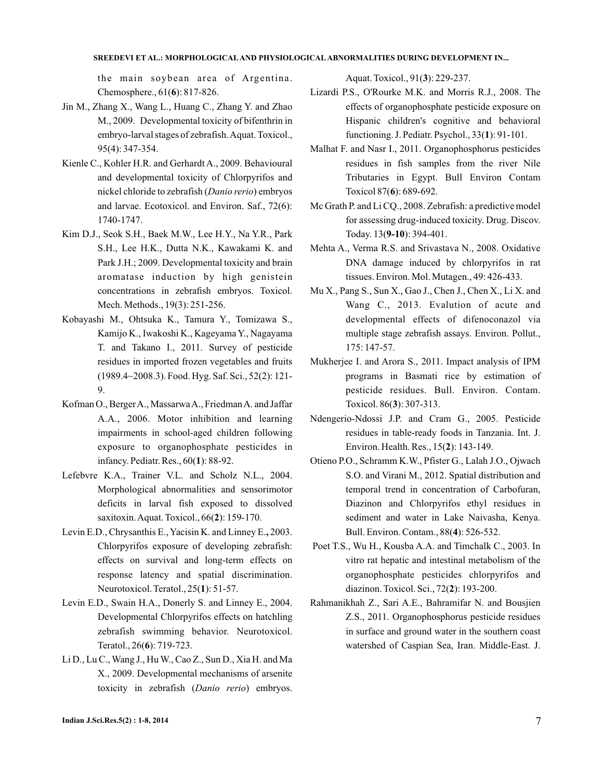### **SREEDEVI ET AL.: MORPHOLOGICAL AND PHYSIOLOGICAL ABNORMALITIES DURING DEVELOPMENT IN...**

the main soybean area of Argentina. Chemosphere., 61(6): 817-826.

- Jin M., Zhang X., Wang L., Huang C., Zhang Y. and Zhao M., 2009. Developmental toxicity of bifenthrin in embryo-larval stages of zebrafish.Aquat. Toxicol., 95(4): 347-354.
- Kienle C., Kohler H.R. and Gerhardt A., 2009. Behavioural and developmental toxicity of Chlorpyrifos and nickel chloride to zebrafish (Danio rerio) embryos and larvae. Ecotoxicol. and Environ. Saf., 72(6): 1740-1747.
- Kim D.J., Seok S.H., Baek M.W., Lee H.Y., Na Y.R., Park S.H., Lee H.K., Dutta N.K., Kawakami K. and Park J.H.; 2009. Developmental toxicity and brain aromatase induction by high genistein concentrations in zebrafish embryos. Toxicol. Mech. Methods., 19(3): 251-256.
- Kobayashi M., Ohtsuka K., Tamura Y., Tomizawa S., Kamijo K., Iwakoshi K., Kageyama Y., Nagayama T. and Takano I., 2011. Survey of pesticide residues in imported frozen vegetables and fruits (1989.4~2008.3). Food. Hyg. Saf. Sci., 52(2): 121- 9.
- Kofman O., BergerA., MassarwaA., FriedmanA. and Jaffar A.A., 2006. Motor inhibition and learning impairments in school-aged children following exposure to organophosphate pesticides in infancy. Pediatr. Res., 60(1): 88-92.
- Lefebvre K.A., Trainer V.L. and Scholz N.L., 2004. Morphological abnormalities and sensorimotor deficits in larval fish exposed to dissolved saxitoxin. Aquat. Toxicol., 66(2): 159-170.
- Levin E.D., Chrysanthis E., Yacisin K. and Linney E., 2003. Chlorpyrifos exposure of developing zebrafish: effects on survival and long-term effects on response latency and spatial discrimination. Neurotoxicol. Teratol., 25(1): 51-57.
- Levin E.D., Swain H.A., Donerly S. and Linney E., 2004. Developmental Chlorpyrifos effects on hatchling zebrafish swimming behavior. Neurotoxicol. Teratol., 26(6): 719-723.
- Li D., Lu C.,Wang J., HuW., Cao Z., Sun D., Xia H. and Ma X., 2009. Developmental mechanisms of arsenite toxicity in zebrafish (Danio rerio) embryos.

Aquat. Toxicol., 91(3): 229-237.

- Lizardi P.S., O'Rourke M.K. and Morris R.J., 2008. The effects of organophosphate pesticide exposure on Hispanic children's cognitive and behavioral functioning. J. Pediatr. Psychol., 33(1): 91-101.
- Malhat F. and Nasr I., 2011. Organophosphorus pesticides residues in fish samples from the river Nile Tributaries in Egypt. Bull Environ Contam Toxicol 87(6): 689-692.
- Mc Grath P. and Li CQ., 2008. Zebrafish: a predictive model for assessing drug-induced toxicity. Drug. Discov. Today. 13(9-10): 394-401.
- Mehta A., Verma R.S. and Srivastava N., 2008. Oxidative DNA damage induced by chlorpyrifos in rat tissues. Environ. Mol. Mutagen., 49: 426-433.
- Mu X., Pang S., Sun X., Gao J., Chen J., Chen X., Li X. and Wang C., 2013. Evalution of acute and developmental effects of difenoconazol via multiple stage zebrafish assays. Environ. Pollut., 175: 147-57.
- Mukherjee I. and Arora S., 2011. Impact analysis of IPM programs in Basmati rice by estimation of pesticide residues. Bull. Environ. Contam. Toxicol. 86(3): 307-313.
- Ndengerio-Ndossi J.P. and Cram G., 2005. Pesticide residues in table-ready foods in Tanzania. Int. J. Environ. Health. Res., 15(2): 143-149.
- Otieno P.O., Schramm K.W., Pfister G., Lalah J.O., Ojwach S.O. and Virani M., 2012. Spatial distribution and temporal trend in concentration of Carbofuran, Diazinon and Chlorpyrifos ethyl residues in sediment and water in Lake Naivasha, Kenya. Bull. Environ. Contam., 88(4): 526-532.
- Poet T.S., Wu H., Kousba A.A. and Timchalk C., 2003. In vitro rat hepatic and intestinal metabolism of the organophosphate pesticides chlorpyrifos and diazinon. Toxicol. Sci., 72(2): 193-200.
- Rahmanikhah Z., Sari A.E., Bahramifar N. and Bousjien Z.S., 2011. Organophosphorus pesticide residues in surface and ground water in the southern coast watershed of Caspian Sea, Iran. Middle-East. J.